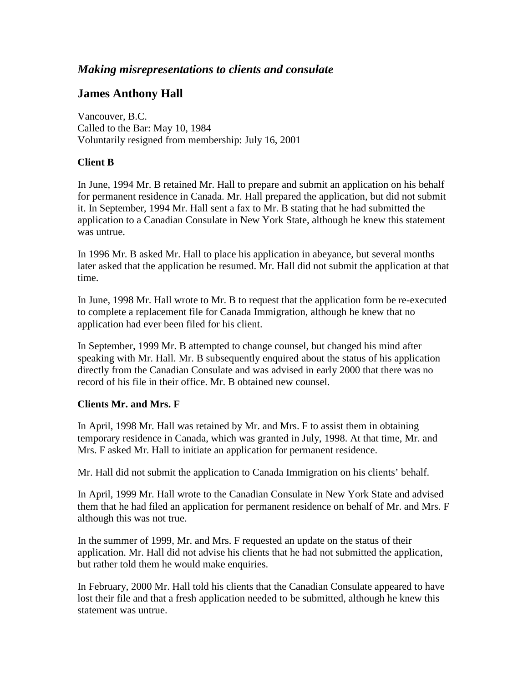## *Making misrepresentations to clients and consulate*

## **James Anthony Hall**

Vancouver, B.C. Called to the Bar: May 10, 1984 Voluntarily resigned from membership: July 16, 2001

## **Client B**

In June, 1994 Mr. B retained Mr. Hall to prepare and submit an application on his behalf for permanent residence in Canada. Mr. Hall prepared the application, but did not submit it. In September, 1994 Mr. Hall sent a fax to Mr. B stating that he had submitted the application to a Canadian Consulate in New York State, although he knew this statement was untrue.

In 1996 Mr. B asked Mr. Hall to place his application in abeyance, but several months later asked that the application be resumed. Mr. Hall did not submit the application at that time.

In June, 1998 Mr. Hall wrote to Mr. B to request that the application form be re-executed to complete a replacement file for Canada Immigration, although he knew that no application had ever been filed for his client.

In September, 1999 Mr. B attempted to change counsel, but changed his mind after speaking with Mr. Hall. Mr. B subsequently enquired about the status of his application directly from the Canadian Consulate and was advised in early 2000 that there was no record of his file in their office. Mr. B obtained new counsel.

## **Clients Mr. and Mrs. F**

In April, 1998 Mr. Hall was retained by Mr. and Mrs. F to assist them in obtaining temporary residence in Canada, which was granted in July, 1998. At that time, Mr. and Mrs. F asked Mr. Hall to initiate an application for permanent residence.

Mr. Hall did not submit the application to Canada Immigration on his clients' behalf.

In April, 1999 Mr. Hall wrote to the Canadian Consulate in New York State and advised them that he had filed an application for permanent residence on behalf of Mr. and Mrs. F although this was not true.

In the summer of 1999, Mr. and Mrs. F requested an update on the status of their application. Mr. Hall did not advise his clients that he had not submitted the application, but rather told them he would make enquiries.

In February, 2000 Mr. Hall told his clients that the Canadian Consulate appeared to have lost their file and that a fresh application needed to be submitted, although he knew this statement was untrue.